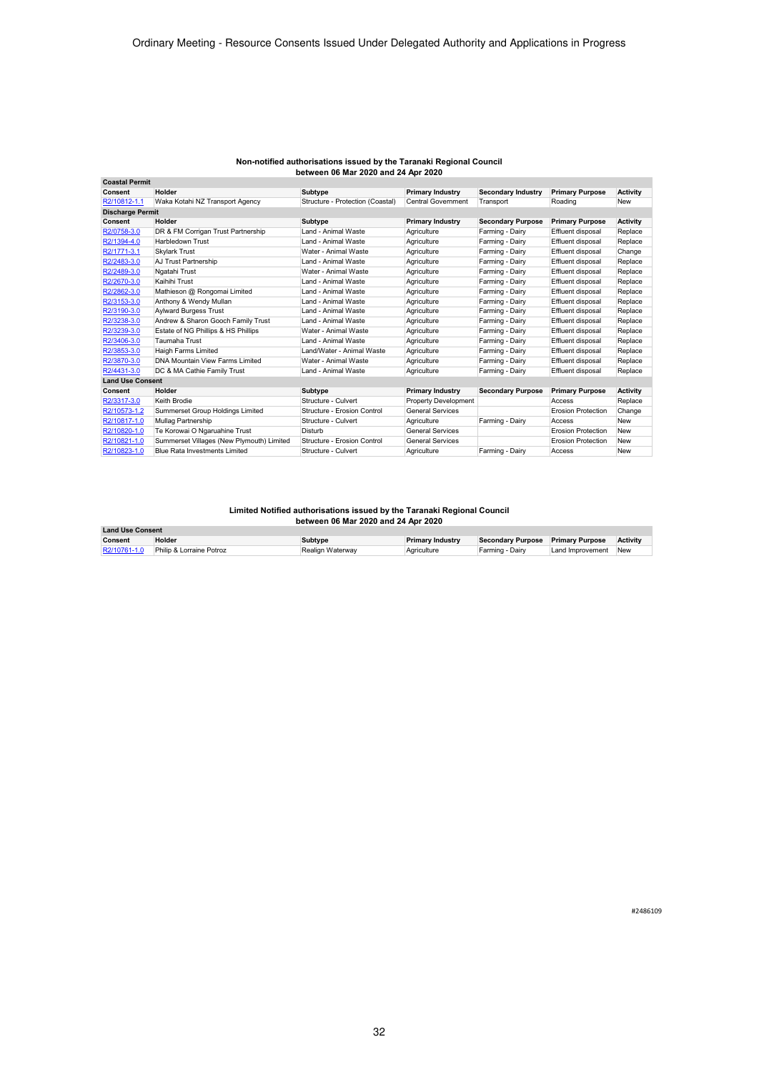| <b>Coastal Permit</b>   |                                           |                                  |                             |                           |                           |                 |
|-------------------------|-------------------------------------------|----------------------------------|-----------------------------|---------------------------|---------------------------|-----------------|
| Consent                 | Holder                                    | Subtype                          | <b>Primary Industry</b>     | <b>Secondary Industry</b> | <b>Primary Purpose</b>    | <b>Activity</b> |
| R2/10812-1.1            | Waka Kotahi NZ Transport Agency           | Structure - Protection (Coastal) | Central Government          | Transport                 | Roading                   | <b>New</b>      |
| <b>Discharge Permit</b> |                                           |                                  |                             |                           |                           |                 |
| Consent                 | Holder                                    | Subtype                          | <b>Primary Industry</b>     | <b>Secondary Purpose</b>  | <b>Primary Purpose</b>    | <b>Activity</b> |
| R2/0758-3.0             | DR & FM Corrigan Trust Partnership        | Land - Animal Waste              | Agriculture                 | Farming - Dairy           | Effluent disposal         | Replace         |
| R2/1394-4.0             | Harbledown Trust                          | Land - Animal Waste              | Agriculture                 | Farming - Dairy           | Effluent disposal         | Replace         |
| R2/1771-3.1             | <b>Skylark Trust</b>                      | Water - Animal Waste             | Agriculture                 | Farming - Dairy           | Effluent disposal         | Change          |
| R2/2483-3.0             | AJ Trust Partnership                      | Land - Animal Waste              | Agriculture                 | Farming - Dairy           | Effluent disposal         | Replace         |
| R2/2489-3.0             | Ngatahi Trust                             | Water - Animal Waste             | Agriculture                 | Farming - Dairy           | Effluent disposal         | Replace         |
| R2/2670-3.0             | Kaihihi Trust                             | Land - Animal Waste              | Agriculture                 | Farming - Dairy           | Effluent disposal         | Replace         |
| R2/2862-3.0             | Mathieson @ Rongomai Limited              | Land - Animal Waste              | Agriculture                 | Farming - Dairy           | Effluent disposal         | Replace         |
| R2/3153-3.0             | Anthony & Wendy Mullan                    | Land - Animal Waste              | Agriculture                 | Farming - Dairy           | <b>Effluent disposal</b>  | Replace         |
| R2/3190-3.0             | <b>Aylward Burgess Trust</b>              | Land - Animal Waste              | Agriculture                 | Farming - Dairy           | Effluent disposal         | Replace         |
| R2/3238-3.0             | Andrew & Sharon Gooch Family Trust        | Land - Animal Waste              | Agriculture                 | Farming - Dairy           | <b>Effluent disposal</b>  | Replace         |
| R2/3239-3.0             | Estate of NG Phillips & HS Phillips       | Water - Animal Waste             | Agriculture                 | Farming - Dairy           | Effluent disposal         | Replace         |
| R2/3406-3.0             | Taumaha Trust                             | Land - Animal Waste              | Agriculture                 | Farming - Dairy           | Effluent disposal         | Replace         |
| R2/3853-3.0             | Haigh Farms Limited                       | Land/Water - Animal Waste        | Agriculture                 | Farming - Dairy           | Effluent disposal         | Replace         |
| R2/3870-3.0             | DNA Mountain View Farms Limited           | Water - Animal Waste             | Agriculture                 | Farming - Dairy           | Effluent disposal         | Replace         |
| R2/4431-3.0             | DC & MA Cathie Family Trust               | Land - Animal Waste              | Agriculture                 | Farming - Dairy           | Effluent disposal         | Replace         |
| <b>Land Use Consent</b> |                                           |                                  |                             |                           |                           |                 |
| Consent                 | Holder                                    | Subtype                          | <b>Primary Industry</b>     | <b>Secondary Purpose</b>  | <b>Primary Purpose</b>    | <b>Activity</b> |
| R2/3317-3.0             | Keith Brodie                              | Structure - Culvert              | <b>Property Development</b> |                           | Access                    | Replace         |
| R2/10573-1.2            | Summerset Group Holdings Limited          | Structure - Erosion Control      | <b>General Services</b>     |                           | <b>Erosion Protection</b> | Change          |
| R2/10817-1.0            | Mullag Partnership                        | Structure - Culvert              | Agriculture                 | Farming - Dairv           | Access                    | <b>New</b>      |
| R2/10820-1.0            | Te Korowai O Ngaruahine Trust             | Disturb                          | <b>General Services</b>     |                           | <b>Erosion Protection</b> | <b>New</b>      |
| R2/10821-1.0            | Summerset Villages (New Plymouth) Limited | Structure - Erosion Control      | <b>General Services</b>     |                           | <b>Erosion Protection</b> | <b>New</b>      |
| R2/10823-1.0            | <b>Blue Rata Investments Limited</b>      | Structure - Culvert              | Agriculture                 | Farming - Dairy           | Access                    | <b>New</b>      |

| <b>Land Use Consent</b> |                          |                  |                         |                          |                        |            |
|-------------------------|--------------------------|------------------|-------------------------|--------------------------|------------------------|------------|
| Consent                 | Holder                   | Subtype          | <b>Primary Industry</b> | <b>Secondary Purpose</b> | <b>Primary Purpose</b> | Activity   |
| R2/10761-1.0            | Philip & Lorraine Potroz | Realign Waterway | Agriculture             | Farming - Dairv          | Land Improvement       | <b>New</b> |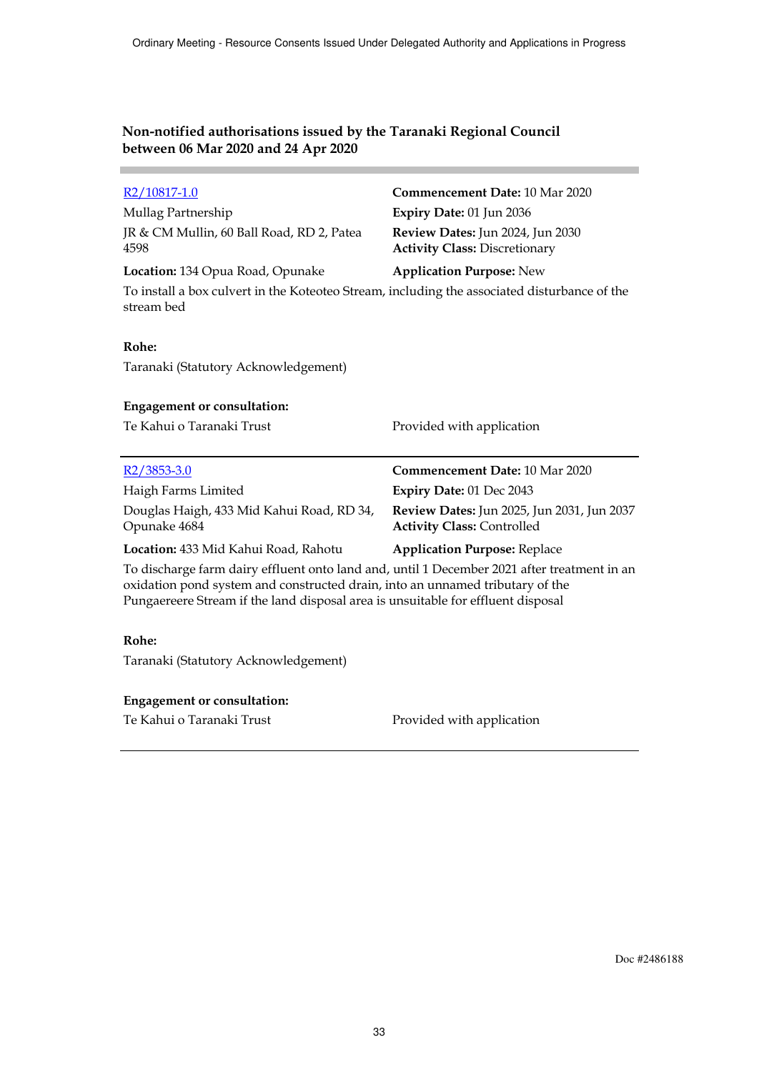×

| R <sub>2</sub> /10817-1.0                                                                                                                                                                                                                                        | Commencement Date: 10 Mar 2020                                                  |
|------------------------------------------------------------------------------------------------------------------------------------------------------------------------------------------------------------------------------------------------------------------|---------------------------------------------------------------------------------|
| Mullag Partnership                                                                                                                                                                                                                                               | Expiry Date: 01 Jun 2036                                                        |
| JR & CM Mullin, 60 Ball Road, RD 2, Patea<br>4598                                                                                                                                                                                                                | Review Dates: Jun 2024, Jun 2030<br><b>Activity Class: Discretionary</b>        |
| Location: 134 Opua Road, Opunake                                                                                                                                                                                                                                 | <b>Application Purpose: New</b>                                                 |
| To install a box culvert in the Koteoteo Stream, including the associated disturbance of the<br>stream bed                                                                                                                                                       |                                                                                 |
| Rohe:                                                                                                                                                                                                                                                            |                                                                                 |
| Taranaki (Statutory Acknowledgement)                                                                                                                                                                                                                             |                                                                                 |
| <b>Engagement or consultation:</b>                                                                                                                                                                                                                               |                                                                                 |
| Te Kahui o Taranaki Trust                                                                                                                                                                                                                                        | Provided with application                                                       |
| $R2/3853-3.0$                                                                                                                                                                                                                                                    | Commencement Date: 10 Mar 2020                                                  |
| Haigh Farms Limited                                                                                                                                                                                                                                              | Expiry Date: 01 Dec 2043                                                        |
| Douglas Haigh, 433 Mid Kahui Road, RD 34,<br>Opunake 4684                                                                                                                                                                                                        | Review Dates: Jun 2025, Jun 2031, Jun 2037<br><b>Activity Class: Controlled</b> |
| Location: 433 Mid Kahui Road, Rahotu                                                                                                                                                                                                                             | <b>Application Purpose: Replace</b>                                             |
| To discharge farm dairy effluent onto land and, until 1 December 2021 after treatment in an<br>oxidation pond system and constructed drain, into an unnamed tributary of the<br>Pungaereere Stream if the land disposal area is unsuitable for effluent disposal |                                                                                 |
| Rohe:                                                                                                                                                                                                                                                            |                                                                                 |
| Taranaki (Statutory Acknowledgement)                                                                                                                                                                                                                             |                                                                                 |
|                                                                                                                                                                                                                                                                  |                                                                                 |

Te Kahui o Taranaki Trust **Provided with application**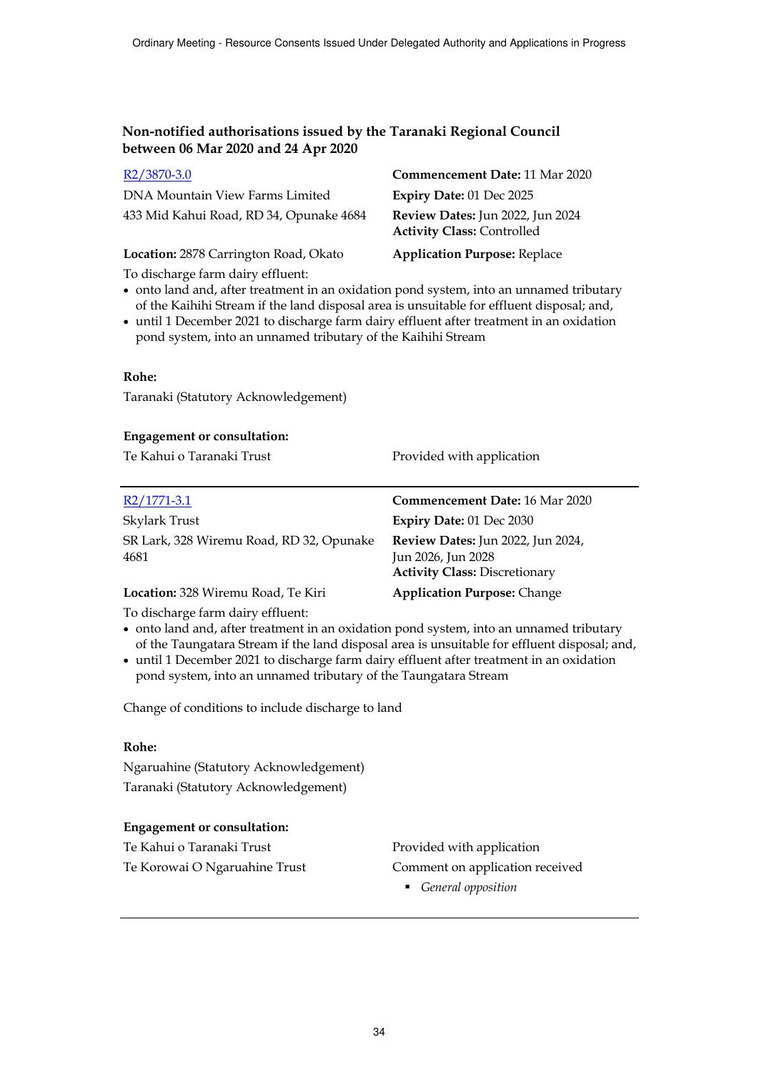| R <sub>2</sub> /3870-3.0                | Commencement Date: 11 Mar 2020                                        |
|-----------------------------------------|-----------------------------------------------------------------------|
| DNA Mountain View Farms Limited         | Expiry Date: 01 Dec 2025                                              |
| 433 Mid Kahui Road, RD 34, Opunake 4684 | Review Dates: Jun 2022, Jun 2024<br><b>Activity Class: Controlled</b> |
| Location: 2878 Carrington Road, Okato   | <b>Application Purpose: Replace</b>                                   |

To discharge farm dairy effluent:

- onto land and, after treatment in an oxidation pond system, into an unnamed tributary of the Kaihihi Stream if the land disposal area is unsuitable for effluent disposal; and,
- until 1 December 2021 to discharge farm dairy effluent after treatment in an oxidation pond system, into an unnamed tributary of the Kaihihi Stream

#### **Rohe:**

Taranaki (Statutory Acknowledgement)

#### **Engagement or consultation:**

Te Kahui o Taranaki Trust Provided with application

| $R2/1771-3.1$                                                                                                                                                                                                                                                                                    | <b>Commencement Date: 16 Mar 2020</b>                                                                  |
|--------------------------------------------------------------------------------------------------------------------------------------------------------------------------------------------------------------------------------------------------------------------------------------------------|--------------------------------------------------------------------------------------------------------|
| Skylark Trust                                                                                                                                                                                                                                                                                    | <b>Expiry Date: 01 Dec 2030</b>                                                                        |
| SR Lark, 328 Wiremu Road, RD 32, Opunake<br>4681                                                                                                                                                                                                                                                 | <b>Review Dates:</b> Jun 2022, Jun 2024,<br>Jun 2026, Jun 2028<br><b>Activity Class: Discretionary</b> |
| Location: 328 Wiremu Road, Te Kiri                                                                                                                                                                                                                                                               | <b>Application Purpose: Change</b>                                                                     |
| $\mathbf{r}$ and $\mathbf{r}$ and $\mathbf{r}$ and $\mathbf{r}$ and $\mathbf{r}$ and $\mathbf{r}$ and $\mathbf{r}$ and $\mathbf{r}$ and $\mathbf{r}$ and $\mathbf{r}$ and $\mathbf{r}$ and $\mathbf{r}$ and $\mathbf{r}$ and $\mathbf{r}$ and $\mathbf{r}$ and $\mathbf{r}$ and $\mathbf{r}$ and |                                                                                                        |

To discharge farm dairy effluent:

- onto land and, after treatment in an oxidation pond system, into an unnamed tributary of the Taungatara Stream if the land disposal area is unsuitable for effluent disposal; and,
- until 1 December 2021 to discharge farm dairy effluent after treatment in an oxidation pond system, into an unnamed tributary of the Taungatara Stream

Change of conditions to include discharge to land

#### **Rohe:**

Ngaruahine (Statutory Acknowledgement) Taranaki (Statutory Acknowledgement)

# **Engagement or consultation:**

Te Kahui o Taranaki Trust **Provided with application** 

Te Korowai O Ngaruahine Trust Comment on application received

*General opposition*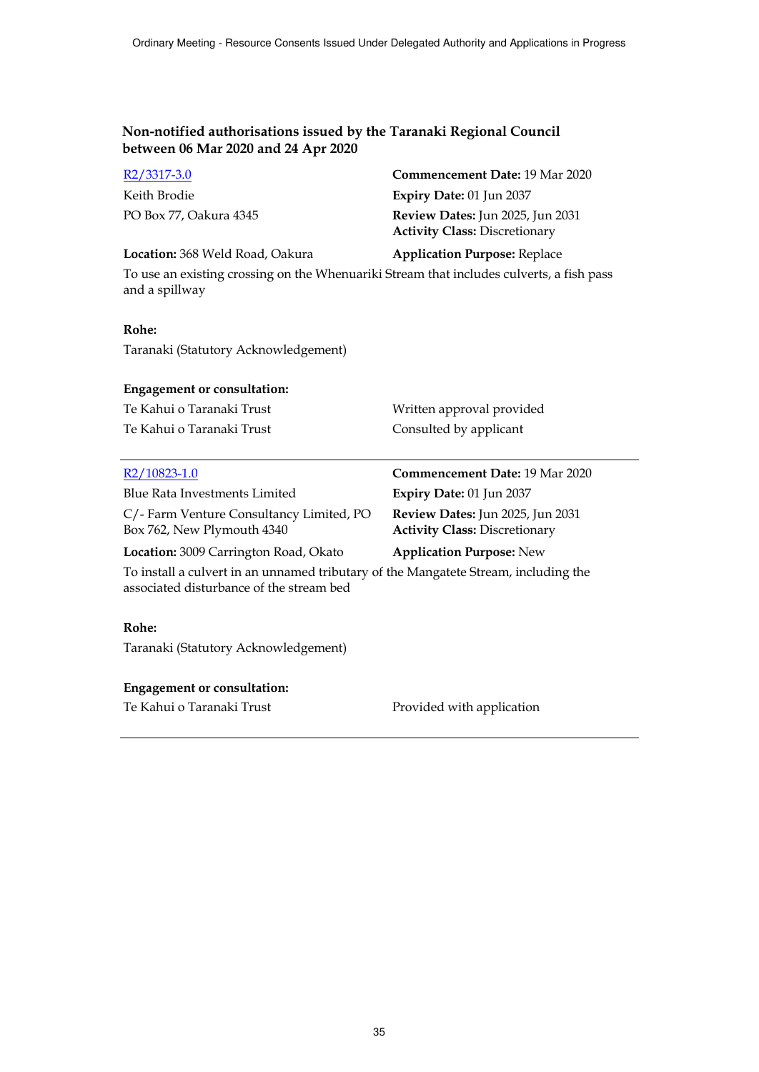| R2/3317-3.0            | <b>Commencement Date: 19 Mar 2020</b>                                           |
|------------------------|---------------------------------------------------------------------------------|
| Keith Brodie           | Expiry Date: $01$ Jun 2037                                                      |
| PO Box 77, Oakura 4345 | <b>Review Dates:</b> Jun 2025, Jun 2031<br><b>Activity Class: Discretionary</b> |

**Location:** 368 Weld Road, Oakura **Application Purpose:** Replace

To use an existing crossing on the Whenuariki Stream that includes culverts, a fish pass and a spillway

# **Rohe:**

Taranaki (Statutory Acknowledgement)

#### **Engagement or consultation:**

| Te Kahui o Taranaki Trust | Written approval provided |
|---------------------------|---------------------------|
| Te Kahui o Taranaki Trust | Consulted by applicant    |

| R2/10823-1.0                                                          | Commencement Date: 19 Mar 2020                                           |
|-----------------------------------------------------------------------|--------------------------------------------------------------------------|
| Blue Rata Investments Limited                                         | Expiry Date: 01 Jun 2037                                                 |
| C/-Farm Venture Consultancy Limited, PO<br>Box 762, New Plymouth 4340 | Review Dates: Jun 2025, Jun 2031<br><b>Activity Class: Discretionary</b> |
| Location: 3009 Carrington Road, Okato                                 | <b>Application Purpose: New</b>                                          |
|                                                                       |                                                                          |

To install a culvert in an unnamed tributary of the Mangatete Stream, including the associated disturbance of the stream bed

#### **Rohe:**

Taranaki (Statutory Acknowledgement)

#### **Engagement or consultation:**

Te Kahui o Taranaki Trust Provided with application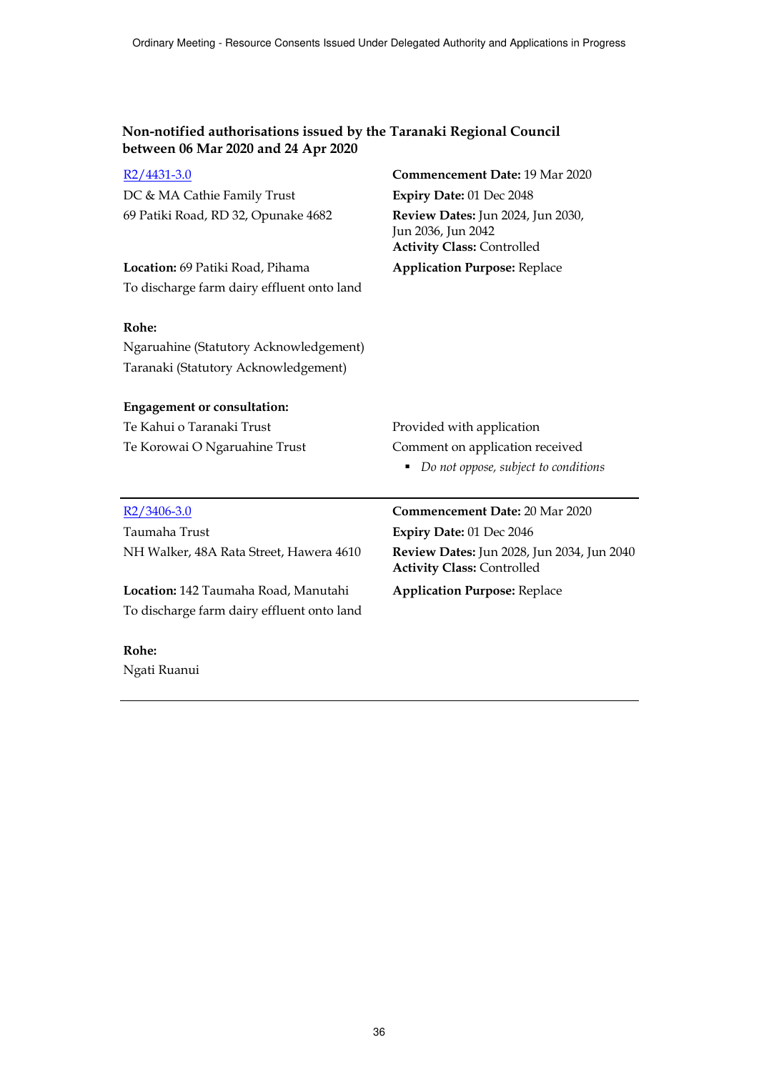| $R2/4431-3.0$                              | Commencement Date: 19 Mar 2020                                                               |
|--------------------------------------------|----------------------------------------------------------------------------------------------|
| DC & MA Cathie Family Trust                | Expiry Date: 01 Dec 2048                                                                     |
| 69 Patiki Road, RD 32, Opunake 4682        | Review Dates: Jun 2024, Jun 2030,<br>Jun 2036, Jun 2042<br><b>Activity Class: Controlled</b> |
| Location: 69 Patiki Road, Pihama           | <b>Application Purpose: Replace</b>                                                          |
| To discharge farm dairy effluent onto land |                                                                                              |
| Rohe:                                      |                                                                                              |
| Ngaruahine (Statutory Acknowledgement)     |                                                                                              |
| Taranaki (Statutory Acknowledgement)       |                                                                                              |
| <b>Engagement or consultation:</b>         |                                                                                              |
| Te Kahui o Taranaki Trust                  | Provided with application                                                                    |
| Te Korowai O Ngaruahine Trust              | Comment on application received                                                              |
|                                            | Do not oppose, subject to conditions                                                         |
| $R2/3406-3.0$                              | Commencement Date: 20 Mar 2020                                                               |
| Taumaha Trust                              | Expiry Date: 01 Dec 2046                                                                     |
| NH Walker, 48A Rata Street, Hawera 4610    | Review Dates: Jun 2028, Jun 2034, Jun 2040<br><b>Activity Class: Controlled</b>              |
| Location: 142 Taumaha Road, Manutahi       | <b>Application Purpose: Replace</b>                                                          |
| To discharge farm dairy effluent onto land |                                                                                              |
| Rohe:                                      |                                                                                              |
| Ngati Ruanui                               |                                                                                              |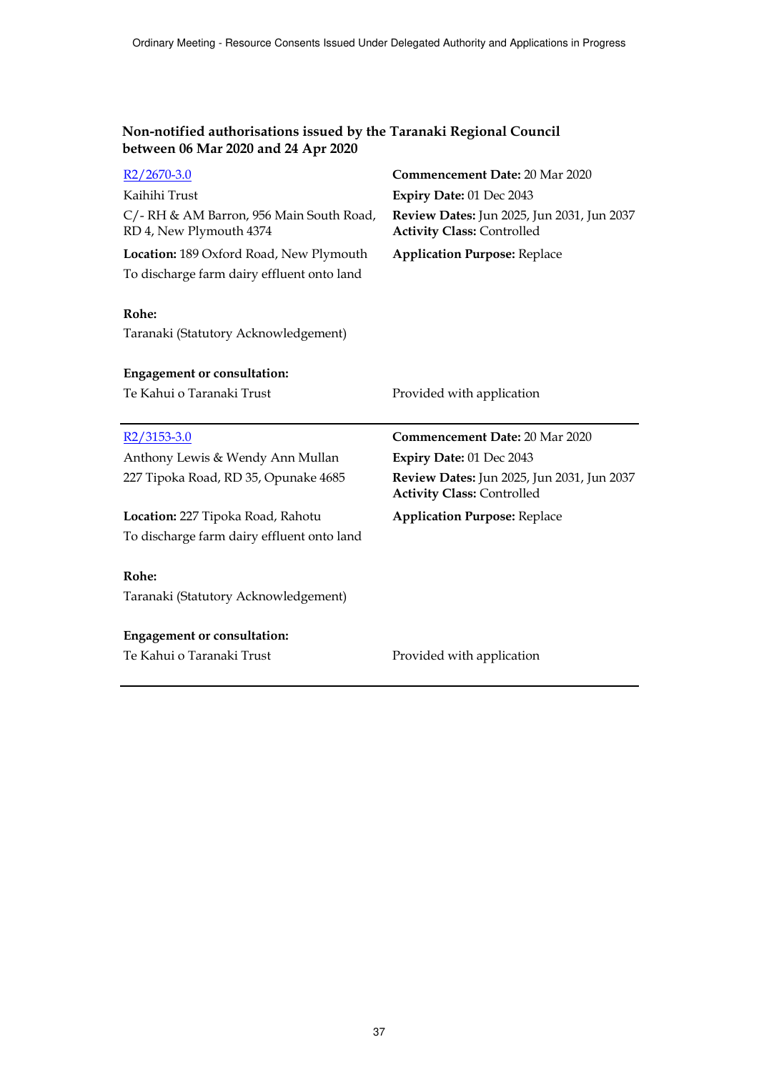| $R2/2670-3.0$                                                       | <b>Commencement Date: 20 Mar 2020</b>                                           |
|---------------------------------------------------------------------|---------------------------------------------------------------------------------|
| Kaihihi Trust                                                       | Expiry Date: 01 Dec 2043                                                        |
| C/- RH & AM Barron, 956 Main South Road,<br>RD 4, New Plymouth 4374 | Review Dates: Jun 2025, Jun 2031, Jun 2037<br><b>Activity Class: Controlled</b> |
| Location: 189 Oxford Road, New Plymouth                             | <b>Application Purpose: Replace</b>                                             |
| To discharge farm dairy effluent onto land                          |                                                                                 |
| Rohe:<br>Taranaki (Statutory Acknowledgement)                       |                                                                                 |
| <b>Engagement or consultation:</b>                                  |                                                                                 |
| Te Kahui o Taranaki Trust                                           | Provided with application                                                       |
|                                                                     |                                                                                 |
|                                                                     |                                                                                 |
| R2/3153-3.0                                                         | <b>Commencement Date: 20 Mar 2020</b>                                           |
| Anthony Lewis & Wendy Ann Mullan                                    | Expiry Date: 01 Dec 2043                                                        |
| 227 Tipoka Road, RD 35, Opunake 4685                                | Review Dates: Jun 2025, Jun 2031, Jun 2037<br><b>Activity Class: Controlled</b> |
| Location: 227 Tipoka Road, Rahotu                                   | <b>Application Purpose: Replace</b>                                             |
| To discharge farm dairy effluent onto land                          |                                                                                 |
|                                                                     |                                                                                 |
| Rohe:                                                               |                                                                                 |
| Taranaki (Statutory Acknowledgement)                                |                                                                                 |
|                                                                     |                                                                                 |
| <b>Engagement or consultation:</b>                                  |                                                                                 |
| Te Kahui o Taranaki Trust                                           | Provided with application                                                       |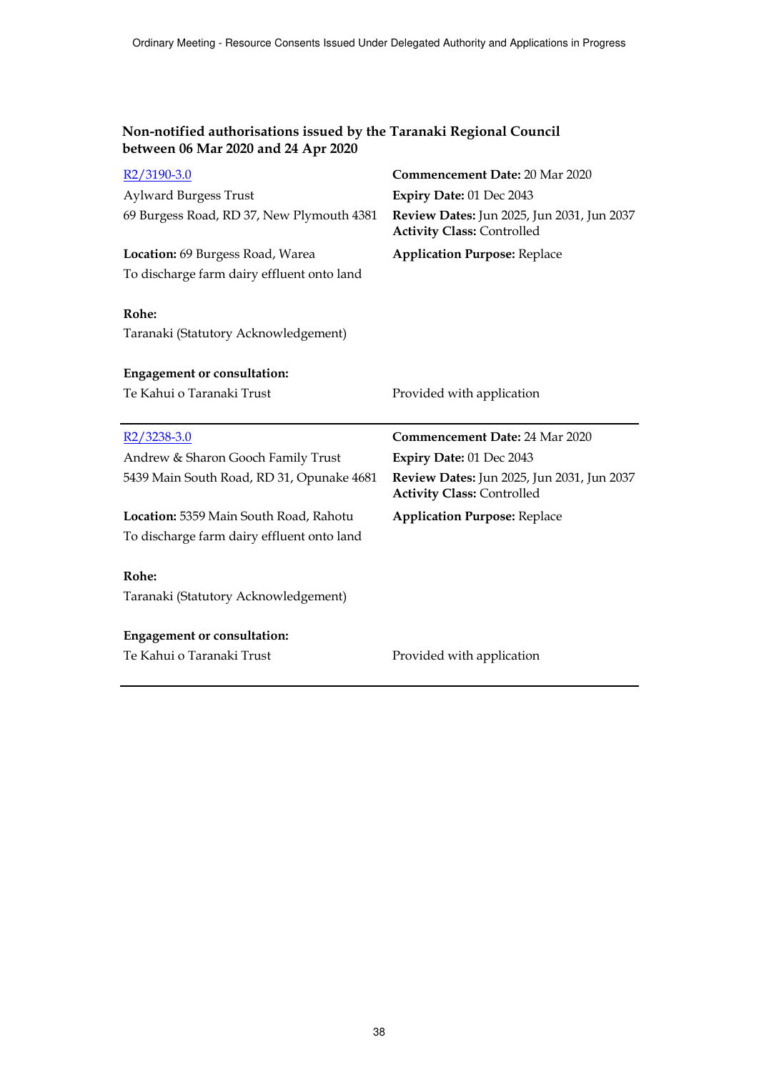| R2/3190-3.0                                   | <b>Commencement Date: 20 Mar 2020</b>                                           |
|-----------------------------------------------|---------------------------------------------------------------------------------|
| <b>Aylward Burgess Trust</b>                  | Expiry Date: 01 Dec 2043                                                        |
| 69 Burgess Road, RD 37, New Plymouth 4381     | Review Dates: Jun 2025, Jun 2031, Jun 2037<br><b>Activity Class: Controlled</b> |
| Location: 69 Burgess Road, Warea              | <b>Application Purpose: Replace</b>                                             |
| To discharge farm dairy effluent onto land    |                                                                                 |
| Rohe:<br>Taranaki (Statutory Acknowledgement) |                                                                                 |
| <b>Engagement or consultation:</b>            |                                                                                 |
| Te Kahui o Taranaki Trust                     | Provided with application                                                       |
|                                               |                                                                                 |
|                                               |                                                                                 |
| R2/3238-3.0                                   | <b>Commencement Date: 24 Mar 2020</b>                                           |
| Andrew & Sharon Gooch Family Trust            | Expiry Date: 01 Dec 2043                                                        |
| 5439 Main South Road, RD 31, Opunake 4681     | Review Dates: Jun 2025, Jun 2031, Jun 2037<br><b>Activity Class: Controlled</b> |
| Location: 5359 Main South Road, Rahotu        | <b>Application Purpose: Replace</b>                                             |
| To discharge farm dairy effluent onto land    |                                                                                 |
|                                               |                                                                                 |
| Rohe:                                         |                                                                                 |
| Taranaki (Statutory Acknowledgement)          |                                                                                 |
|                                               |                                                                                 |
| <b>Engagement or consultation:</b>            |                                                                                 |
| Te Kahui o Taranaki Trust                     | Provided with application                                                       |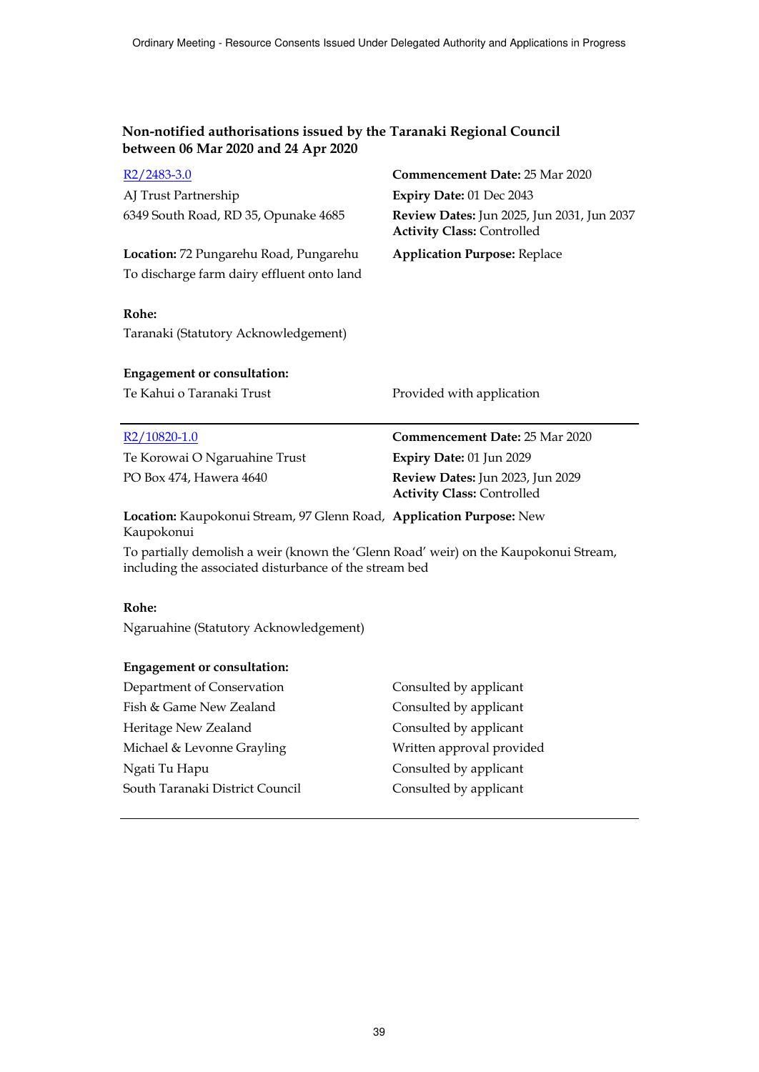| $R2/2483-3.0$                                                                                                                                  | <b>Commencement Date: 25 Mar 2020</b>                                           |
|------------------------------------------------------------------------------------------------------------------------------------------------|---------------------------------------------------------------------------------|
| AJ Trust Partnership                                                                                                                           | Expiry Date: 01 Dec 2043                                                        |
| 6349 South Road, RD 35, Opunake 4685                                                                                                           | Review Dates: Jun 2025, Jun 2031, Jun 2037<br><b>Activity Class: Controlled</b> |
| Location: 72 Pungarehu Road, Pungarehu                                                                                                         | <b>Application Purpose: Replace</b>                                             |
| To discharge farm dairy effluent onto land                                                                                                     |                                                                                 |
|                                                                                                                                                |                                                                                 |
| Rohe:                                                                                                                                          |                                                                                 |
| Taranaki (Statutory Acknowledgement)                                                                                                           |                                                                                 |
|                                                                                                                                                |                                                                                 |
| <b>Engagement or consultation:</b>                                                                                                             |                                                                                 |
| Te Kahui o Taranaki Trust                                                                                                                      | Provided with application                                                       |
|                                                                                                                                                |                                                                                 |
|                                                                                                                                                |                                                                                 |
| R <sub>2</sub> /10820-1.0                                                                                                                      | <b>Commencement Date: 25 Mar 2020</b>                                           |
| Te Korowai O Ngaruahine Trust                                                                                                                  | Expiry Date: 01 Jun 2029                                                        |
| PO Box 474, Hawera 4640                                                                                                                        | Review Dates: Jun 2023, Jun 2029<br><b>Activity Class: Controlled</b>           |
| Location: Kaupokonui Stream, 97 Glenn Road, Application Purpose: New<br>Kaupokonui                                                             |                                                                                 |
| To partially demolish a weir (known the 'Glenn Road' weir) on the Kaupokonui Stream,<br>including the associated disturbance of the stream bed |                                                                                 |
|                                                                                                                                                |                                                                                 |
| Rohe:                                                                                                                                          |                                                                                 |
| Ngaruahine (Statutory Acknowledgement)                                                                                                         |                                                                                 |
|                                                                                                                                                |                                                                                 |

| Consulted by applicant    |
|---------------------------|
| Consulted by applicant    |
| Consulted by applicant    |
| Written approval provided |
| Consulted by applicant    |
| Consulted by applicant    |
|                           |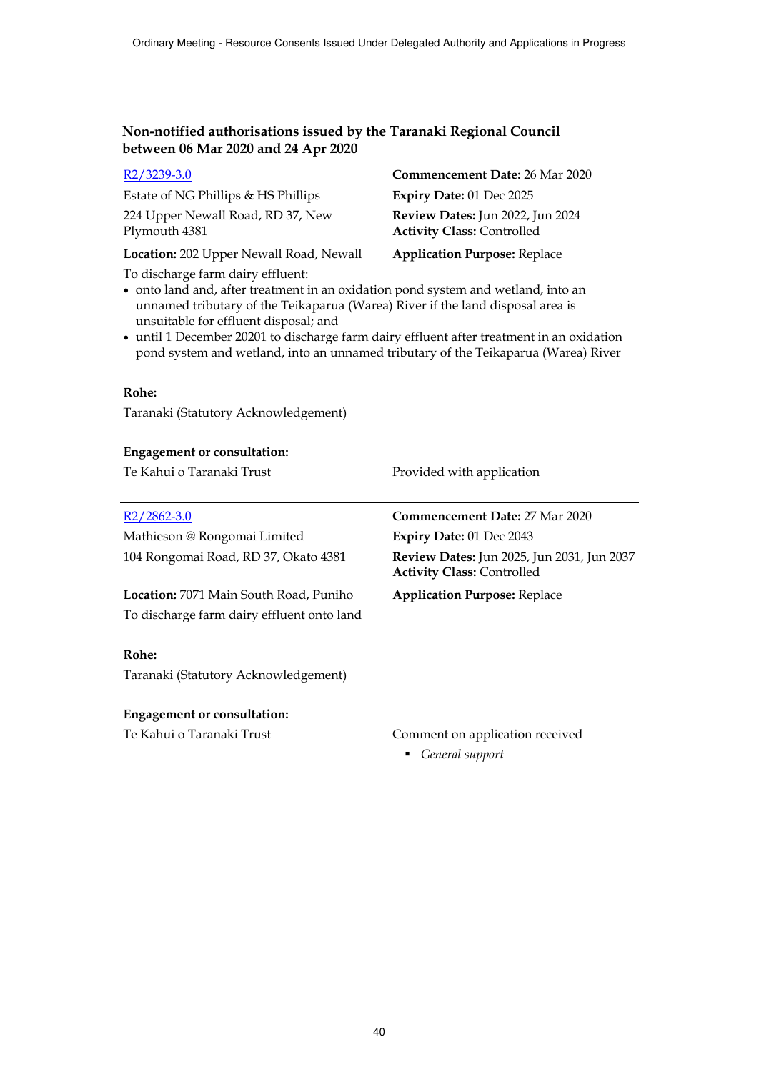| R2/3239-3.0                                                                                                                                                                                                                                                                                                                                                                                                                          | Commencement Date: 26 Mar 2020                                                  |
|--------------------------------------------------------------------------------------------------------------------------------------------------------------------------------------------------------------------------------------------------------------------------------------------------------------------------------------------------------------------------------------------------------------------------------------|---------------------------------------------------------------------------------|
| Estate of NG Phillips & HS Phillips                                                                                                                                                                                                                                                                                                                                                                                                  | Expiry Date: 01 Dec 2025                                                        |
| 224 Upper Newall Road, RD 37, New<br>Plymouth 4381                                                                                                                                                                                                                                                                                                                                                                                   | Review Dates: Jun 2022, Jun 2024<br><b>Activity Class: Controlled</b>           |
| Location: 202 Upper Newall Road, Newall                                                                                                                                                                                                                                                                                                                                                                                              | <b>Application Purpose: Replace</b>                                             |
| To discharge farm dairy effluent:<br>• onto land and, after treatment in an oxidation pond system and wetland, into an<br>unnamed tributary of the Teikaparua (Warea) River if the land disposal area is<br>unsuitable for effluent disposal; and<br>• until 1 December 20201 to discharge farm dairy effluent after treatment in an oxidation<br>pond system and wetland, into an unnamed tributary of the Teikaparua (Warea) River |                                                                                 |
| Rohe:                                                                                                                                                                                                                                                                                                                                                                                                                                |                                                                                 |
| Taranaki (Statutory Acknowledgement)                                                                                                                                                                                                                                                                                                                                                                                                 |                                                                                 |
| <b>Engagement or consultation:</b>                                                                                                                                                                                                                                                                                                                                                                                                   |                                                                                 |
| Te Kahui o Taranaki Trust                                                                                                                                                                                                                                                                                                                                                                                                            | Provided with application                                                       |
| $R2/2862-3.0$                                                                                                                                                                                                                                                                                                                                                                                                                        | Commencement Date: 27 Mar 2020                                                  |
| Mathieson @ Rongomai Limited                                                                                                                                                                                                                                                                                                                                                                                                         | Expiry Date: 01 Dec 2043                                                        |
| 104 Rongomai Road, RD 37, Okato 4381                                                                                                                                                                                                                                                                                                                                                                                                 | Review Dates: Jun 2025, Jun 2031, Jun 2037<br><b>Activity Class: Controlled</b> |
| Location: 7071 Main South Road, Puniho                                                                                                                                                                                                                                                                                                                                                                                               | <b>Application Purpose: Replace</b>                                             |
| To discharge farm dairy effluent onto land                                                                                                                                                                                                                                                                                                                                                                                           |                                                                                 |
| Rohe:                                                                                                                                                                                                                                                                                                                                                                                                                                |                                                                                 |
| Taranaki (Statutory Acknowledgement)                                                                                                                                                                                                                                                                                                                                                                                                 |                                                                                 |
| <b>Engagement or consultation:</b>                                                                                                                                                                                                                                                                                                                                                                                                   |                                                                                 |
| Te Kahui o Taranaki Trust                                                                                                                                                                                                                                                                                                                                                                                                            | Comment on application received<br>General support                              |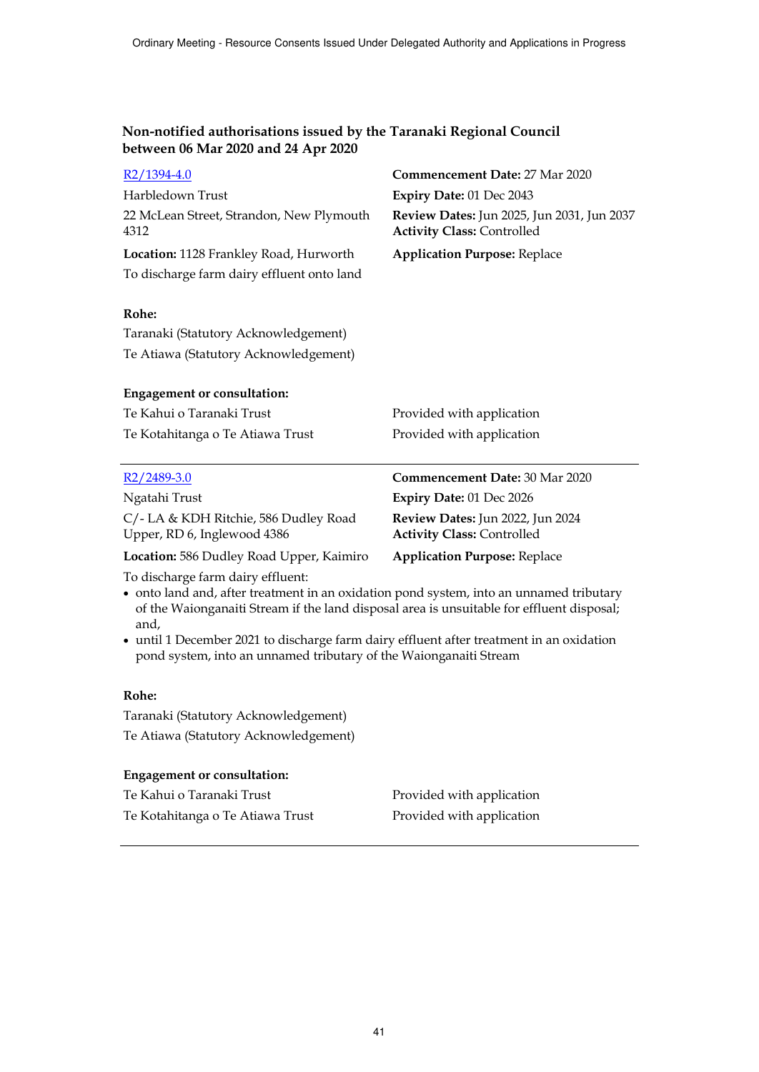| R2/1394-4.0                                                                                                                                                                                                                       | Commencement Date: 27 Mar 2020                                                  |
|-----------------------------------------------------------------------------------------------------------------------------------------------------------------------------------------------------------------------------------|---------------------------------------------------------------------------------|
| Harbledown Trust                                                                                                                                                                                                                  | Expiry Date: 01 Dec 2043                                                        |
| 22 McLean Street, Strandon, New Plymouth<br>4312                                                                                                                                                                                  | Review Dates: Jun 2025, Jun 2031, Jun 2037<br><b>Activity Class: Controlled</b> |
| Location: 1128 Frankley Road, Hurworth                                                                                                                                                                                            | <b>Application Purpose: Replace</b>                                             |
| To discharge farm dairy effluent onto land                                                                                                                                                                                        |                                                                                 |
| Rohe:                                                                                                                                                                                                                             |                                                                                 |
| Taranaki (Statutory Acknowledgement)                                                                                                                                                                                              |                                                                                 |
| Te Atiawa (Statutory Acknowledgement)                                                                                                                                                                                             |                                                                                 |
| <b>Engagement or consultation:</b>                                                                                                                                                                                                |                                                                                 |
| Te Kahui o Taranaki Trust                                                                                                                                                                                                         | Provided with application                                                       |
| Te Kotahitanga o Te Atiawa Trust                                                                                                                                                                                                  | Provided with application                                                       |
| R <sub>2</sub> /2489-3.0                                                                                                                                                                                                          | <b>Commencement Date: 30 Mar 2020</b>                                           |
| Ngatahi Trust                                                                                                                                                                                                                     | Expiry Date: 01 Dec 2026                                                        |
| C/- LA & KDH Ritchie, 586 Dudley Road<br>Upper, RD 6, Inglewood 4386                                                                                                                                                              | Review Dates: Jun 2022, Jun 2024<br><b>Activity Class: Controlled</b>           |
| Location: 586 Dudley Road Upper, Kaimiro                                                                                                                                                                                          | <b>Application Purpose: Replace</b>                                             |
| To discharge farm dairy effluent:<br>• onto land and, after treatment in an oxidation pond system, into an unnamed tributary<br>of the Waionganaiti Stream if the land disposal area is unsuitable for effluent disposal;<br>and, |                                                                                 |

 until 1 December 2021 to discharge farm dairy effluent after treatment in an oxidation pond system, into an unnamed tributary of the Waionganaiti Stream

# **Rohe:**

Taranaki (Statutory Acknowledgement) Te Atiawa (Statutory Acknowledgement)

# **Engagement or consultation:**

| Te Kahui o Taranaki Trust        | Provided with application |
|----------------------------------|---------------------------|
| Te Kotahitanga o Te Atiawa Trust | Provided with application |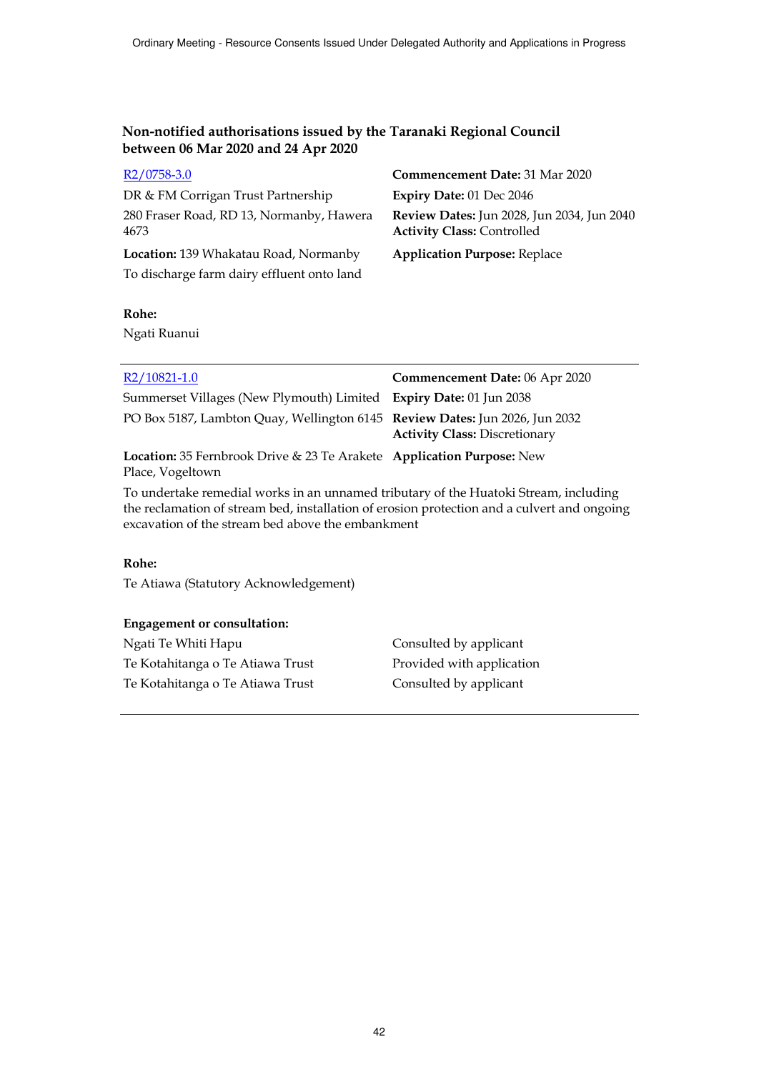| R <sub>2</sub> /0758-3.0                         | Commencement Date: 31 Mar 2020                                                  |
|--------------------------------------------------|---------------------------------------------------------------------------------|
| DR & FM Corrigan Trust Partnership               | Expiry Date: 01 Dec 2046                                                        |
| 280 Fraser Road, RD 13, Normanby, Hawera<br>4673 | Review Dates: Jun 2028, Jun 2034, Jun 2040<br><b>Activity Class: Controlled</b> |
| Location: 139 Whakatau Road, Normanby            | <b>Application Purpose: Replace</b>                                             |
| To discharge farm dairy effluent onto land       |                                                                                 |
|                                                  |                                                                                 |

# **Rohe:**

Ngati Ruanui

| R2/10821-1.0                                                                              | Commencement Date: 06 Apr 2020       |
|-------------------------------------------------------------------------------------------|--------------------------------------|
| Summerset Villages (New Plymouth) Limited Expiry Date: 01 Jun 2038                        |                                      |
| PO Box 5187, Lambton Quay, Wellington 6145 Review Dates: Jun 2026, Jun 2032               | <b>Activity Class: Discretionary</b> |
| Location: 35 Fernbrook Drive & 23 Te Arakete Application Purpose: New<br>Place, Vogeltown |                                      |
| To undertake remedial works in an unnamed tributary of the Huatoki Stream, including      |                                      |

To undertake remedial works in an unnamed tributary of the Huatoki Stream, including the reclamation of stream bed, installation of erosion protection and a culvert and ongoing excavation of the stream bed above the embankment

#### **Rohe:**

Te Atiawa (Statutory Acknowledgement)

#### **Engagement or consultation:**

| Ngati Te Whiti Hapu              | Consulted by applicant    |
|----------------------------------|---------------------------|
| Te Kotahitanga o Te Atiawa Trust | Provided with application |
| Te Kotahitanga o Te Atiawa Trust | Consulted by applicant    |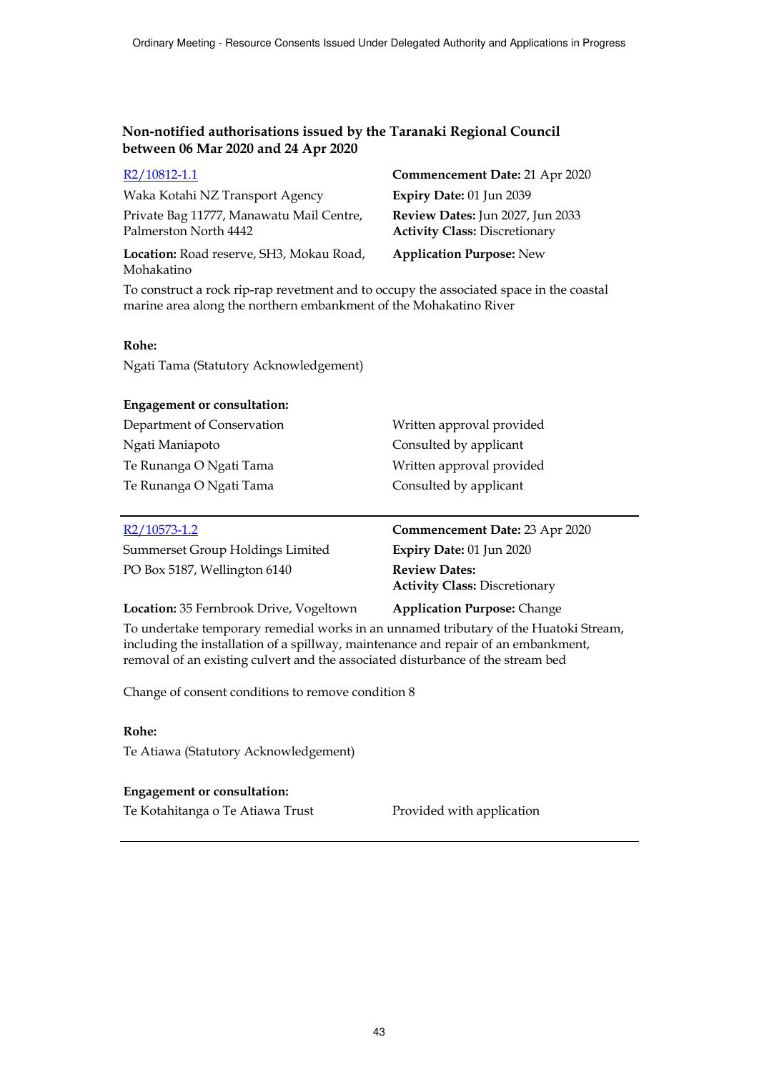| R2/10812-1.1                                                      | Commencement Date: 21 Apr 2020                                           |
|-------------------------------------------------------------------|--------------------------------------------------------------------------|
| Waka Kotahi NZ Transport Agency                                   | Expiry Date: 01 Jun 2039                                                 |
| Private Bag 11777, Manawatu Mail Centre,<br>Palmerston North 4442 | Review Dates: Jun 2027, Jun 2033<br><b>Activity Class: Discretionary</b> |
| Location: Road reserve, SH3, Mokau Road,<br>Mohakatino            | <b>Application Purpose: New</b>                                          |

To construct a rock rip-rap revetment and to occupy the associated space in the coastal marine area along the northern embankment of the Mohakatino River

#### **Rohe:**

Ngati Tama (Statutory Acknowledgement)

#### **Engagement or consultation:**

Department of Conservation Written approval provided Ngati Maniapoto Consulted by applicant Te Runanga O Ngati Tama Written approval provided Te Runanga O Ngati Tama Consulted by applicant

| $R2/10573-1.2$                          | Commencement Date: 23 Apr 2020                               |
|-----------------------------------------|--------------------------------------------------------------|
| Summerset Group Holdings Limited        | Expiry Date: 01 Jun 2020                                     |
| PO Box 5187, Wellington 6140            | <b>Review Dates:</b><br><b>Activity Class: Discretionary</b> |
| Location: 35 Fernbrook Drive, Vogeltown | <b>Application Purpose: Change</b>                           |

To undertake temporary remedial works in an unnamed tributary of the Huatoki Stream, including the installation of a spillway, maintenance and repair of an embankment, removal of an existing culvert and the associated disturbance of the stream bed

Change of consent conditions to remove condition 8

#### **Rohe:**

Te Atiawa (Statutory Acknowledgement)

#### **Engagement or consultation:**

Te Kotahitanga o Te Atiawa Trust Provided with application